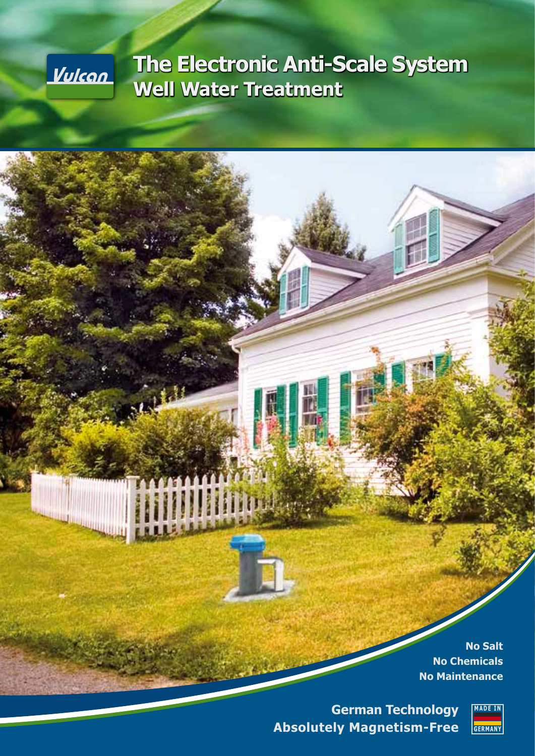

# **The Electronic Anti-Scale System Well Water Treatment**

**No Salt No Chemicals No Maintenance**

**German Technology Absolutely Magnetism-Free**

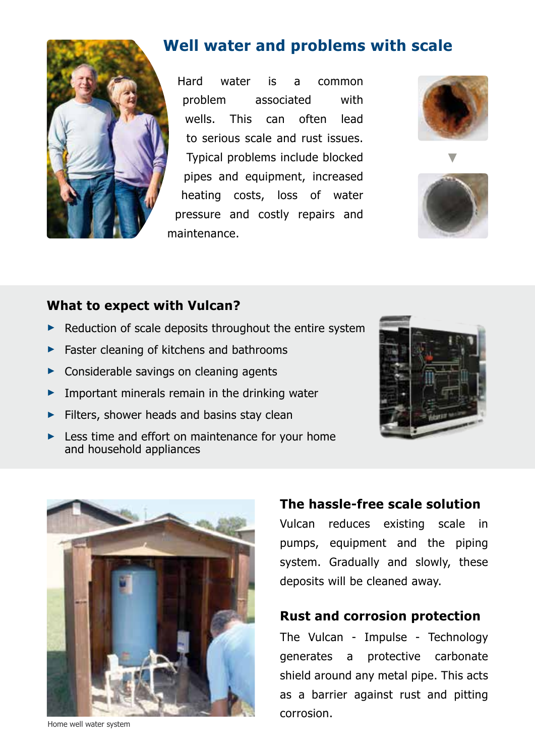

# **Well water and problems with scale**

Hard water is a common problem associated with wells. This can often lead to serious scale and rust issues. Typical problems include blocked pipes and equipment, increased heating costs, loss of water pressure and costly repairs and maintenance.





### **What to expect with Vulcan?**

- ► Reduction of scale deposits throughout the entire system
- ► Faster cleaning of kitchens and bathrooms
- ► Considerable savings on cleaning agents
- $\blacktriangleright$  Important minerals remain in the drinking water
- ► Filters, shower heads and basins stay clean
- ► Less time and effort on maintenance for your home and household appliances





#### Home well water system

#### **The hassle-free scale solution**

Vulcan reduces existing scale in pumps, equipment and the piping system. Gradually and slowly, these deposits will be cleaned away.

#### **Rust and corrosion protection**

The Vulcan - Impulse - Technology generates a protective carbonate shield around any metal pipe. This acts as a barrier against rust and pitting corrosion.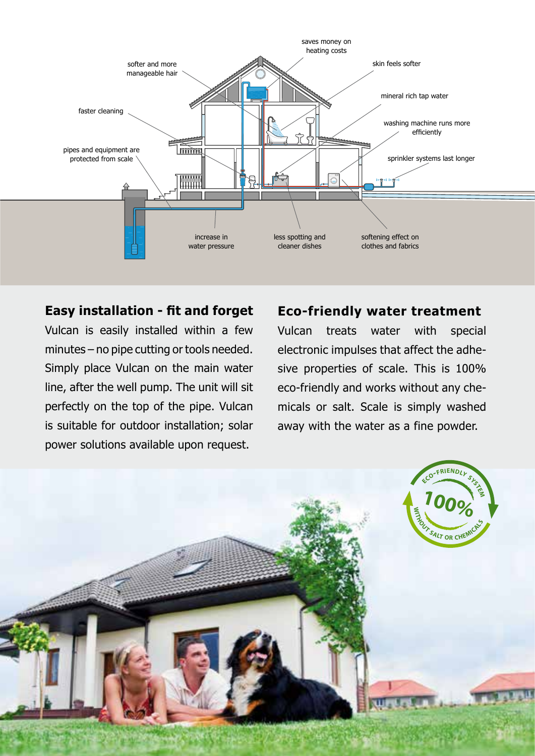

#### **Easy installation - fit and forget**

Vulcan is easily installed within a few minutes – no pipe cutting or tools needed. Simply place Vulcan on the main water line, after the well pump. The unit will sit perfectly on the top of the pipe. Vulcan is suitable for outdoor installation; solar power solutions available upon request.

### **Eco-friendly water treatment**

Vulcan treats water with special electronic impulses that affect the adhesive properties of scale. This is 100% eco-friendly and works without any chemicals or salt. Scale is simply washed away with the water as a fine powder.